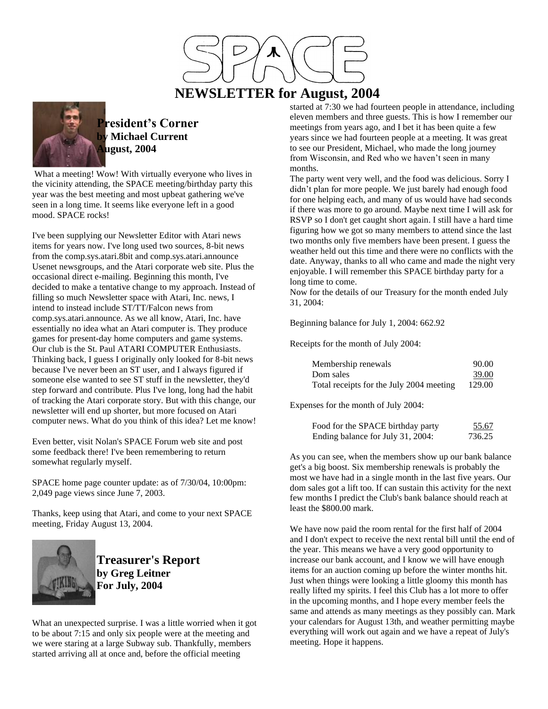

# **NEWSLETTER for August, 2004**



**President's Corner by Michael Current August, 2004**

What a meeting! Wow! With virtually everyone who lives in the vicinity attending, the SPACE meeting/birthday party this year was the best meeting and most upbeat gathering we've seen in a long time. It seems like everyone left in a good mood. SPACE rocks!

I've been supplying our Newsletter Editor with Atari news items for years now. I've long used two sources, 8-bit news from the comp.sys.atari.8bit and comp.sys.atari.announce Usenet newsgroups, and the Atari corporate web site. Plus the occasional direct e-mailing. Beginning this month, I've decided to make a tentative change to my approach. Instead of filling so much Newsletter space with Atari, Inc. news, I intend to instead include ST/TT/Falcon news from comp.sys.atari.announce. As we all know, Atari, Inc. have essentially no idea what an Atari computer is. They produce games for present-day home computers and game systems. Our club is the St. Paul ATARI COMPUTER Enthusiasts. Thinking back, I guess I originally only looked for 8-bit news because I've never been an ST user, and I always figured if someone else wanted to see ST stuff in the newsletter, they'd step forward and contribute. Plus I've long, long had the habit of tracking the Atari corporate story. But with this change, our newsletter will end up shorter, but more focused on Atari computer news. What do you think of this idea? Let me know!

Even better, visit Nolan's SPACE Forum web site and post some feedback there! I've been remembering to return somewhat regularly myself.

SPACE home page counter update: as of 7/30/04, 10:00pm: 2,049 page views since June 7, 2003.

Thanks, keep using that Atari, and come to your next SPACE meeting, Friday August 13, 2004.



**Treasurer's Report by Greg Leitner For July, 2004**

What an unexpected surprise. I was a little worried when it got to be about 7:15 and only six people were at the meeting and we were staring at a large Subway sub. Thankfully, members started arriving all at once and, before the official meeting

started at 7:30 we had fourteen people in attendance, including eleven members and three guests. This is how I remember our meetings from years ago, and I bet it has been quite a few years since we had fourteen people at a meeting. It was great to see our President, Michael, who made the long journey from Wisconsin, and Red who we haven't seen in many months.

The party went very well, and the food was delicious. Sorry I didn't plan for more people. We just barely had enough food for one helping each, and many of us would have had seconds if there was more to go around. Maybe next time I will ask for RSVP so I don't get caught short again. I still have a hard time figuring how we got so many members to attend since the last two months only five members have been present. I guess the weather held out this time and there were no conflicts with the date. Anyway, thanks to all who came and made the night very enjoyable. I will remember this SPACE birthday party for a long time to come.

Now for the details of our Treasury for the month ended July 31, 2004:

Beginning balance for July 1, 2004: 662.92

Receipts for the month of July 2004:

| Membership renewals                      | 90.00           |
|------------------------------------------|-----------------|
| Dom sales                                | 39.00<br>129.00 |
| Total receipts for the July 2004 meeting |                 |

Expenses for the month of July 2004:

| Food for the SPACE birthday party | 55.67  |
|-----------------------------------|--------|
| Ending balance for July 31, 2004: | 736.25 |

As you can see, when the members show up our bank balance get's a big boost. Six membership renewals is probably the most we have had in a single month in the last five years. Our dom sales got a lift too. If can sustain this activity for the next few months I predict the Club's bank balance should reach at least the \$800.00 mark.

We have now paid the room rental for the first half of 2004 and I don't expect to receive the next rental bill until the end of the year. This means we have a very good opportunity to increase our bank account, and I know we will have enough items for an auction coming up before the winter months hit. Just when things were looking a little gloomy this month has really lifted my spirits. I feel this Club has a lot more to offer in the upcoming months, and I hope every member feels the same and attends as many meetings as they possibly can. Mark your calendars for August 13th, and weather permitting maybe everything will work out again and we have a repeat of July's meeting. Hope it happens.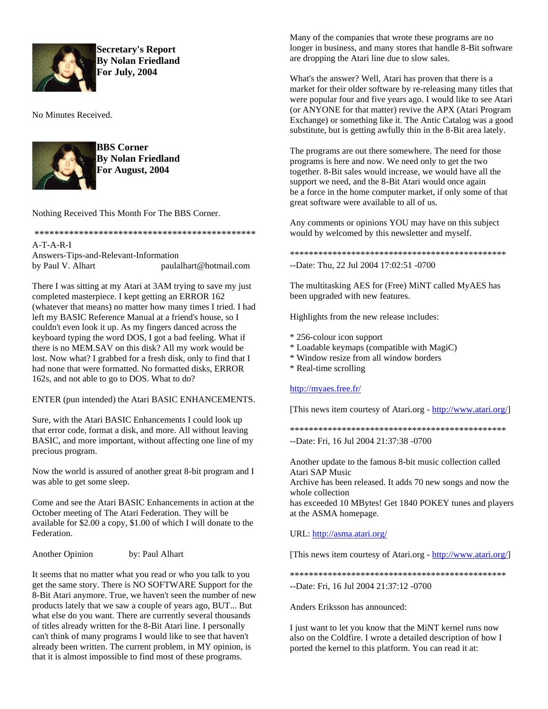

**Secretary's Report By Nolan Friedland For July, 2004**

No Minutes Received.



**BBS Corner By Nolan Friedland For August, 2004**

Nothing Received This Month For The BBS Corner.

\*\*\*\*\*\*\*\*\*\*\*\*\*\*\*\*\*\*\*\*\*\*\*\*\*\*\*\*\*\*\*\*\*\*\*\*\*\*\*\*\*\*\*\*\* A-T-A-R-I Answers-Tips-and-Relevant-Information by Paul V. Alhart paulalhart@hotmail.com

There I was sitting at my Atari at 3AM trying to save my just completed masterpiece. I kept getting an ERROR 162 (whatever that means) no matter how many times I tried. I had left my BASIC Reference Manual at a friend's house, so I couldn't even look it up. As my fingers danced across the keyboard typing the word DOS, I got a bad feeling. What if there is no MEM.SAV on this disk? All my work would be lost. Now what? I grabbed for a fresh disk, only to find that I had none that were formatted. No formatted disks, ERROR 162s, and not able to go to DOS. What to do?

# ENTER (pun intended) the Atari BASIC ENHANCEMENTS.

Sure, with the Atari BASIC Enhancements I could look up that error code, format a disk, and more. All without leaving BASIC, and more important, without affecting one line of my precious program.

Now the world is assured of another great 8-bit program and I was able to get some sleep.

Come and see the Atari BASIC Enhancements in action at the October meeting of The Atari Federation. They will be available for \$2.00 a copy, \$1.00 of which I will donate to the Federation.

Another Opinion by: Paul Alhart

It seems that no matter what you read or who you talk to you get the same story. There is NO SOFTWARE Support for the 8-Bit Atari anymore. True, we haven't seen the number of new products lately that we saw a couple of years ago, BUT... But what else do you want. There are currently several thousands of titles already written for the 8-Bit Atari line. I personally can't think of many programs I would like to see that haven't already been written. The current problem, in MY opinion, is that it is almost impossible to find most of these programs.

Many of the companies that wrote these programs are no longer in business, and many stores that handle 8-Bit software are dropping the Atari line due to slow sales.

What's the answer? Well, Atari has proven that there is a market for their older software by re-releasing many titles that were popular four and five years ago. I would like to see Atari (or ANYONE for that matter) revive the APX (Atari Program Exchange) or something like it. The Antic Catalog was a good substitute, but is getting awfully thin in the 8-Bit area lately.

The programs are out there somewhere. The need for those programs is here and now. We need only to get the two together. 8-Bit sales would increase, we would have all the support we need, and the 8-Bit Atari would once again be a force in the home computer market, if only some of that great software were available to all of us.

Any comments or opinions YOU may have on this subject would by welcomed by this newsletter and myself.

\*\*\*\*\*\*\*\*\*\*\*\*\*\*\*\*\*\*\*\*\*\*\*\*\*\*\*\*\*\*\*\*\*\*\*\*\*\*\*\*\*\*\*\*\*\* --Date: Thu, 22 Jul 2004 17:02:51 -0700

The multitasking AES for (Free) MiNT called MyAES has been upgraded with new features.

Highlights from the new release includes:

- \* 256-colour icon support
- \* Loadable keymaps (compatible with MagiC)
- \* Window resize from all window borders
- \* Real-time scrolling

# <http://myaes.free.fr/>

[This news item courtesy of Atari.org - [http://www.atari.org/\]](http://www.atari.org/)

\*\*\*\*\*\*\*\*\*\*\*\*\*\*\*\*\*\*\*\*\*\*\*\*\*\*\*\*\*\*\*\*\*\*\*\*\*\*\*\*\*\*\*\*\*\*

--Date: Fri, 16 Jul 2004 21:37:38 -0700

Another update to the famous 8-bit music collection called Atari SAP Music

Archive has been released. It adds 70 new songs and now the whole collection

has exceeded 10 MBytes! Get 1840 POKEY tunes and players at the ASMA homepage.

# URL:<http://asma.atari.org/>

[This news item courtesy of Atari.org - [http://www.atari.org/\]](http://www.atari.org/)

\*\*\*\*\*\*\*\*\*\*\*\*\*\*\*\*\*\*\*\*\*\*\*\*\*\*\*\*\*\*\*\*\*\*\*\*\*\*\*\*\*\*\*\*\*\*

--Date: Fri, 16 Jul 2004 21:37:12 -0700

Anders Eriksson has announced:

I just want to let you know that the MiNT kernel runs now also on the Coldfire. I wrote a detailed description of how I ported the kernel to this platform. You can read it at: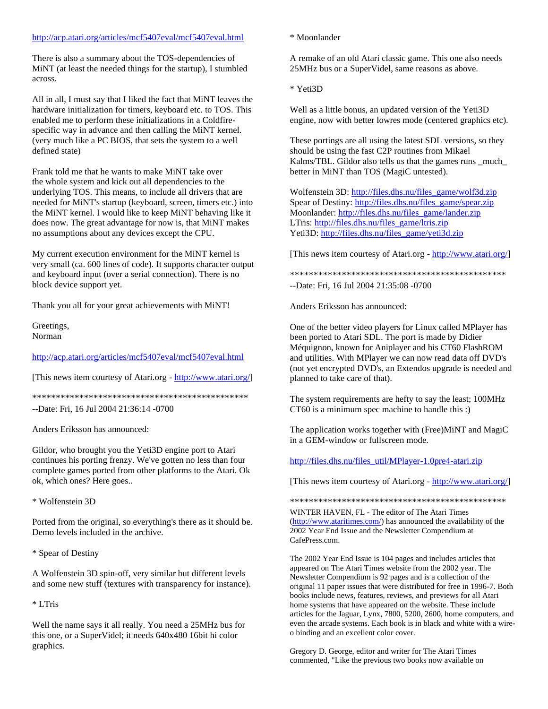# <http://acp.atari.org/articles/mcf5407eval/mcf5407eval.html>

There is also a summary about the TOS-dependencies of MiNT (at least the needed things for the startup), I stumbled across.

All in all, I must say that I liked the fact that MiNT leaves the hardware initialization for timers, keyboard etc. to TOS. This enabled me to perform these initializations in a Coldfirespecific way in advance and then calling the MiNT kernel. (very much like a PC BIOS, that sets the system to a well defined state)

Frank told me that he wants to make MiNT take over the whole system and kick out all dependencies to the underlying TOS. This means, to include all drivers that are needed for MiNT's startup (keyboard, screen, timers etc.) into the MiNT kernel. I would like to keep MiNT behaving like it does now. The great advantage for now is, that MiNT makes no assumptions about any devices except the CPU.

My current execution environment for the MiNT kernel is very small (ca. 600 lines of code). It supports character output and keyboard input (over a serial connection). There is no block device support yet.

Thank you all for your great achievements with MiNT!

Greetings, Norman

# <http://acp.atari.org/articles/mcf5407eval/mcf5407eval.html>

[This news item courtesy of Atari.org - [http://www.atari.org/\]](http://www.atari.org/)

\*\*\*\*\*\*\*\*\*\*\*\*\*\*\*\*\*\*\*\*\*\*\*\*\*\*\*\*\*\*\*\*\*\*\*\*\*\*\*\*\*\*\*\*\*\* --Date: Fri, 16 Jul 2004 21:36:14 -0700

Anders Eriksson has announced:

Gildor, who brought you the Yeti3D engine port to Atari continues his porting frenzy. We've gotten no less than four complete games ported from other platforms to the Atari. Ok ok, which ones? Here goes..

\* Wolfenstein 3D

Ported from the original, so everything's there as it should be. Demo levels included in the archive.

\* Spear of Destiny

A Wolfenstein 3D spin-off, very similar but different levels and some new stuff (textures with transparency for instance).

\* LTris

Well the name says it all really. You need a 25MHz bus for this one, or a SuperVidel; it needs 640x480 16bit hi color graphics.

# \* Moonlander

A remake of an old Atari classic game. This one also needs 25MHz bus or a SuperVidel, same reasons as above.

\* Yeti3D

Well as a little bonus, an updated version of the Yeti3D engine, now with better lowres mode (centered graphics etc).

These portings are all using the latest SDL versions, so they should be using the fast C2P routines from Mikael Kalms/TBL. Gildor also tells us that the games runs \_much\_ better in MiNT than TOS (MagiC untested).

Wolfenstein 3D: [http://files.dhs.nu/files\\_game/wolf3d.zip](http://files.dhs.nu/files_game/wolf3d.zip) Spear of Destiny[: http://files.dhs.nu/files\\_game/spear.zip](http://files.dhs.nu/files_game/spear.zip) Moonlander: [http://files.dhs.nu/files\\_game/lander.zip](http://files.dhs.nu/files_game/lander.zip) LTris: [http://files.dhs.nu/files\\_game/ltris.zip](http://files.dhs.nu/files_game/ltris.zip) Yeti3D[: http://files.dhs.nu/files\\_game/yeti3d.zip](http://files.dhs.nu/files_game/yeti3d.zip)

[This news item courtesy of Atari.org - [http://www.atari.org/\]](http://www.atari.org/)

\*\*\*\*\*\*\*\*\*\*\*\*\*\*\*\*\*\*\*\*\*\*\*\*\*\*\*\*\*\*\*\*\*\*\*\*\*\*\*\*\*\*\*\*\*\* --Date: Fri, 16 Jul 2004 21:35:08 -0700

Anders Eriksson has announced:

One of the better video players for Linux called MPlayer has been ported to Atari SDL. The port is made by Didier Méquignon, known for Aniplayer and his CT60 FlashROM and utilities. With MPlayer we can now read data off DVD's (not yet encrypted DVD's, an Extendos upgrade is needed and planned to take care of that).

The system requirements are hefty to say the least; 100MHz CT60 is a minimum spec machine to handle this :)

The application works together with (Free)MiNT and MagiC in a GEM-window or fullscreen mode.

[http://files.dhs.nu/files\\_util/MPlayer-1.0pre4-atari.zip](http://files.dhs.nu/files_util/MPlayer-1.0pre4-atari.zip)

[This news item courtesy of Atari.org - [http://www.atari.org/\]](http://www.atari.org/)

\*\*\*\*\*\*\*\*\*\*\*\*\*\*\*\*\*\*\*\*\*\*\*\*\*\*\*\*\*\*\*\*\*\*\*\*\*\*\*\*\*\*\*\*\*\*

WINTER HAVEN, FL - The editor of The Atari Times [\(http://www.ataritimes.com/\)](http://www.ataritimes.com/) has announced the availability of the 2002 Year End Issue and the Newsletter Compendium at CafePress.com.

The 2002 Year End Issue is 104 pages and includes articles that appeared on The Atari Times website from the 2002 year. The Newsletter Compendium is 92 pages and is a collection of the original 11 paper issues that were distributed for free in 1996-7. Both books include news, features, reviews, and previews for all Atari home systems that have appeared on the website. These include articles for the Jaguar, Lynx, 7800, 5200, 2600, home computers, and even the arcade systems. Each book is in black and white with a wireo binding and an excellent color cover.

Gregory D. George, editor and writer for The Atari Times commented, "Like the previous two books now available on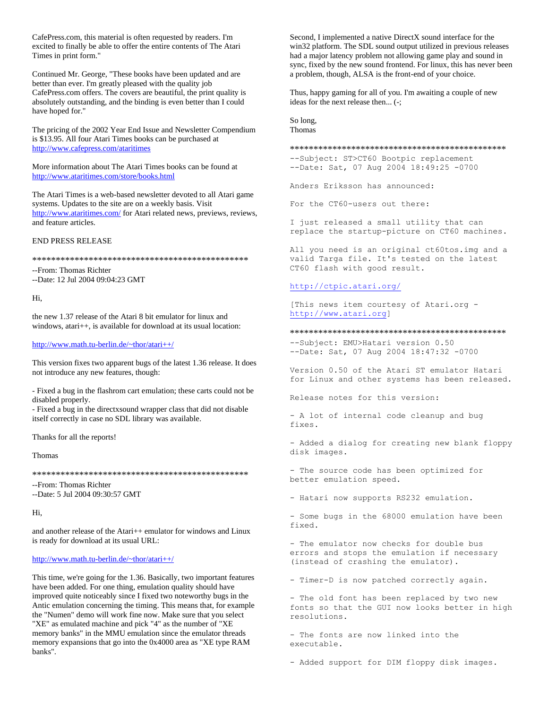CafePress.com, this material is often requested by readers. I'm excited to finally be able to offer the entire contents of The Atari Times in print form."

Continued Mr. George, "These books have been updated and are better than ever. I'm greatly pleased with the quality job CafePress.com offers. The covers are beautiful, the print quality is absolutely outstanding, and the binding is even better than I could have hoped for."

The pricing of the 2002 Year End Issue and Newsletter Compendium is \$13.95. All four Atari Times books can be purchased at http://www.cafepress.com/ataritimes

More information about The Atari Times books can be found at http://www.ataritimes.com/store/books.html

The Atari Times is a web-based newsletter devoted to all Atari game systems. Updates to the site are on a weekly basis. Visit http://www.ataritimes.com/ for Atari related news, previews, reviews, and feature articles.

### **END PRESS RELEASE**

#### 

--From: Thomas Richter --Date: 12 Jul 2004 09:04:23 GMT

### Hi.

the new 1.37 release of the Atari 8 bit emulator for linux and windows, atari++, is available for download at its usual location:

# http://www.math.tu-berlin.de/~thor/atari++/

This version fixes two apparent bugs of the latest 1.36 release. It does not introduce any new features, though:

- Fixed a bug in the flashrom cart emulation; these carts could not be disabled properly.

- Fixed a bug in the directxsound wrapper class that did not disable itself correctly in case no SDL library was available.

Thanks for all the reports!

#### Thomas

--From: Thomas Richter --Date: 5 Jul 2004 09:30:57 GMT

Hi,

and another release of the Atari++ emulator for windows and Linux is ready for download at its usual URL:

### http://www.math.tu-berlin.de/~thor/atari++/

This time, we're going for the 1.36. Basically, two important features have been added. For one thing, emulation quality should have improved quite noticeably since I fixed two noteworthy bugs in the Antic emulation concerning the timing. This means that, for example the "Numen" demo will work fine now. Make sure that you select "XE" as emulated machine and pick "4" as the number of "XE memory banks" in the MMU emulation since the emulator threads memory expansions that go into the 0x4000 area as "XE type RAM banks".

Second, I implemented a native DirectX sound interface for the win32 platform. The SDL sound output utilized in previous releases had a major latency problem not allowing game play and sound in sync, fixed by the new sound frontend. For linux, this has never been a problem, though, ALSA is the front-end of your choice.

Thus, happy gaming for all of you. I'm awaiting a couple of new ideas for the next release then... (-;

So long. Thomas

#### 

--Subject: ST>CT60 Bootpic replacement --Date: Sat, 07 Aug 2004 18:49:25 -0700

Anders Eriksson has announced:

For the CT60-users out there:

I just released a small utility that can replace the startup-picture on CT60 machines.

All you need is an original ct60tos.img and a valid Targa file. It's tested on the latest CT60 flash with good result.

# http://ctpic.atari.org/

[This news item courtesy of Atari.org http://www.atari.org]

--Subject: EMU>Hatari version 0.50 --Date: Sat, 07 Aug 2004 18:47:32 -0700

Version 0.50 of the Atari ST emulator Hatari for Linux and other systems has been released.

Release notes for this version:

- A lot of internal code cleanup and bug fixes.

- Added a dialog for creating new blank floppy disk images.

- The source code has been optimized for better emulation speed.

- Hatari now supports RS232 emulation.

- Some bugs in the 68000 emulation have been fixed.

- The emulator now checks for double bus errors and stops the emulation if necessary (instead of crashing the emulator).

- Timer-D is now patched correctly again.

- The old font has been replaced by two new fonts so that the GUI now looks better in high resolutions.

- The fonts are now linked into the executable.

- Added support for DIM floppy disk images.